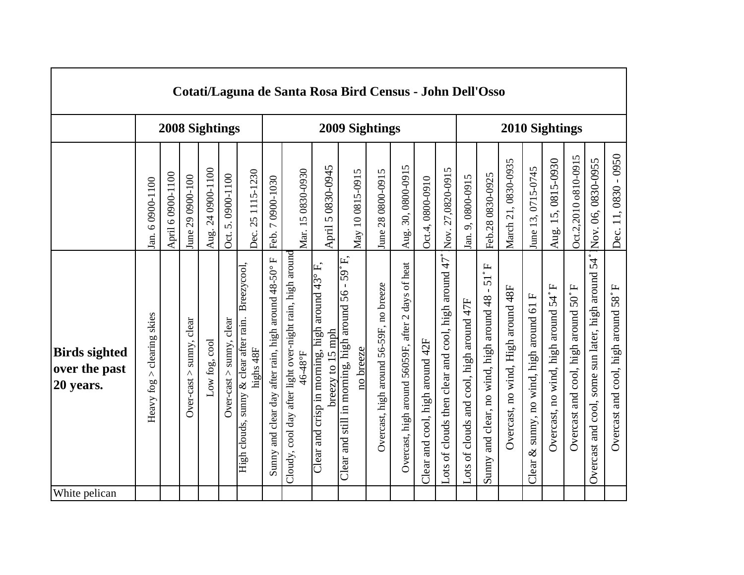|                                                    |                                  |                   |                          |                                     |                           |                                                                    |                                                      | Cotati/Laguna de Santa Rosa Bird Census - John Dell'Osso             |                                                                             |                                                                           |                                         |                                                    |                                 |                                                     |                                          |                                                                          |                                    |                                            |                                     |                                     |                                                       |                                     |
|----------------------------------------------------|----------------------------------|-------------------|--------------------------|-------------------------------------|---------------------------|--------------------------------------------------------------------|------------------------------------------------------|----------------------------------------------------------------------|-----------------------------------------------------------------------------|---------------------------------------------------------------------------|-----------------------------------------|----------------------------------------------------|---------------------------------|-----------------------------------------------------|------------------------------------------|--------------------------------------------------------------------------|------------------------------------|--------------------------------------------|-------------------------------------|-------------------------------------|-------------------------------------------------------|-------------------------------------|
|                                                    |                                  |                   |                          | 2008 Sightings                      |                           |                                                                    |                                                      |                                                                      |                                                                             | 2009 Sightings                                                            |                                         |                                                    |                                 |                                                     |                                          |                                                                          | 2010 Sightings                     |                                            |                                     |                                     |                                                       |                                     |
|                                                    | 6 0900-1100<br>Jan.              | April 6 0900-1100 | June 29 0900-100         | 24 0900-1100<br>Aug.                | 5.0900-1100<br>Oct.       | 25 1115-1230<br>Dec.                                               | 7 0900-1030<br>Feb.                                  | Mar. 15 0830-0930                                                    | April 5 0830-0945                                                           | May 10 0815-0915                                                          | June 28 0800-0915                       | 30,0800-0915<br>Aug.                               | Oct.4,0800-0910                 | Nov. 27,0820-0915                                   | 9,0800-0915<br>Jan.                      | Feb.280830-0925                                                          | March 21, 0830-0935                | June 13, 0715-0745                         | Aug. 15, 0815-0930                  | Oct.2,2010 o810-0915                | Nov. 06, 0830-0955                                    | Dec. 11, 0830 - 0950                |
| <b>Birds sighted</b><br>over the past<br>20 years. | clearing skies<br>Λ<br>Heavy fog |                   | Over-cast > sunny, clear | $_{\rm cool}$<br>$Low$ fog, $\cdot$ | $Over-cast > sumy, clear$ | Breezycool,<br>High clouds, sunny & clear after rain.<br>highs 48F | Sunny and clear day after rain, high around 48-50° F | Cloudy, cool day after light over-night rain, high around<br>46-48°F | Clear and crisp in morning, high around $43^{\circ}$ F,<br>breezy to 15 mph | Clear and still in morning, high around $56 - 59^{\circ}$ F,<br>no breeze | Overcast, high around 56-59F, no breeze | Overcast, high around 56059F, after 2 days of heat | Clear and cool, high around 42F | Lots of clouds then clear and cool, high around 47° | Lots of clouds and cool, high around 47F | $51°$ F<br>$\blacksquare$<br>and clear, no wind, high around 48<br>Sunny | Overcast, no wind, High around 48F | Clear & sunny, no wind, high around 61 $F$ | Overcast, no wind, high around 54°F | Overcast and cool, high around 50°F | 54°<br>Overcast and cool, some sun later, high around | Overcast and cool, high around 58°F |
| White pelican                                      |                                  |                   |                          |                                     |                           |                                                                    |                                                      |                                                                      |                                                                             |                                                                           |                                         |                                                    |                                 |                                                     |                                          |                                                                          |                                    |                                            |                                     |                                     |                                                       |                                     |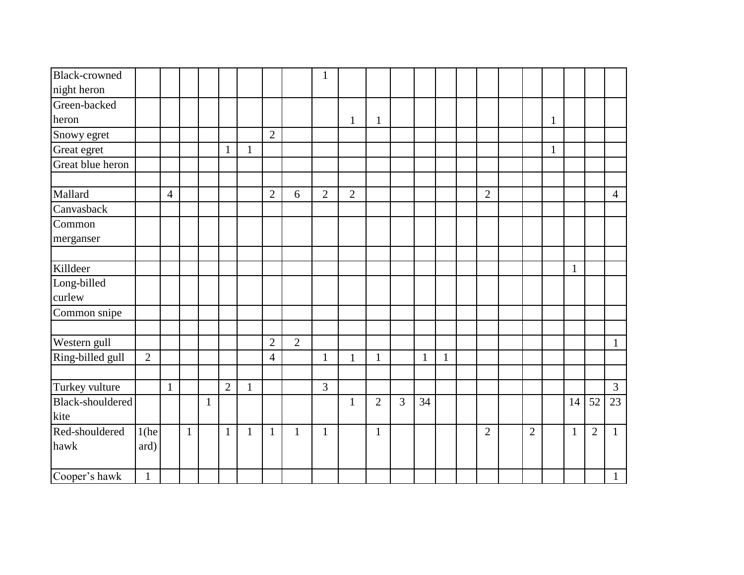| <b>Black-crowned</b> |                |                |              |              |                |              |                |                | $\mathbf{1}$   |                |                |   |    |              |                |                |              |              |                |                |
|----------------------|----------------|----------------|--------------|--------------|----------------|--------------|----------------|----------------|----------------|----------------|----------------|---|----|--------------|----------------|----------------|--------------|--------------|----------------|----------------|
| night heron          |                |                |              |              |                |              |                |                |                |                |                |   |    |              |                |                |              |              |                |                |
| Green-backed         |                |                |              |              |                |              |                |                |                |                |                |   |    |              |                |                |              |              |                |                |
| heron                |                |                |              |              |                |              |                |                |                | $\mathbf{1}$   | $\mathbf{1}$   |   |    |              |                |                | $\mathbf{1}$ |              |                |                |
| Snowy egret          |                |                |              |              |                |              | $\overline{2}$ |                |                |                |                |   |    |              |                |                |              |              |                |                |
| Great egret          |                |                |              |              | $\mathbf{1}$   | $\mathbf{1}$ |                |                |                |                |                |   |    |              |                |                | $\mathbf{1}$ |              |                |                |
| Great blue heron     |                |                |              |              |                |              |                |                |                |                |                |   |    |              |                |                |              |              |                |                |
|                      |                |                |              |              |                |              |                |                |                |                |                |   |    |              |                |                |              |              |                |                |
| Mallard              |                | $\overline{4}$ |              |              |                |              | $\overline{2}$ | 6              | $\overline{2}$ | $\overline{2}$ |                |   |    |              | $\overline{2}$ |                |              |              |                | $\overline{4}$ |
| Canvasback           |                |                |              |              |                |              |                |                |                |                |                |   |    |              |                |                |              |              |                |                |
| Common               |                |                |              |              |                |              |                |                |                |                |                |   |    |              |                |                |              |              |                |                |
| merganser            |                |                |              |              |                |              |                |                |                |                |                |   |    |              |                |                |              |              |                |                |
|                      |                |                |              |              |                |              |                |                |                |                |                |   |    |              |                |                |              |              |                |                |
| Killdeer             |                |                |              |              |                |              |                |                |                |                |                |   |    |              |                |                |              | $\mathbf{1}$ |                |                |
| Long-billed          |                |                |              |              |                |              |                |                |                |                |                |   |    |              |                |                |              |              |                |                |
| curlew               |                |                |              |              |                |              |                |                |                |                |                |   |    |              |                |                |              |              |                |                |
| Common snipe         |                |                |              |              |                |              |                |                |                |                |                |   |    |              |                |                |              |              |                |                |
|                      |                |                |              |              |                |              |                |                |                |                |                |   |    |              |                |                |              |              |                |                |
| Western gull         |                |                |              |              |                |              | $\overline{2}$ | $\overline{2}$ |                |                |                |   |    |              |                |                |              |              |                | $\mathbf{1}$   |
| Ring-billed gull     | $\overline{2}$ |                |              |              |                |              | $\overline{4}$ |                | 1              | $\mathbf{1}$   | $\mathbf{1}$   |   | 1  | $\mathbf{1}$ |                |                |              |              |                |                |
|                      |                |                |              |              |                |              |                |                |                |                |                |   |    |              |                |                |              |              |                |                |
| Turkey vulture       |                | $\mathbf{1}$   |              |              | $\overline{2}$ | $\mathbf{1}$ |                |                | $\overline{3}$ |                |                |   |    |              |                |                |              |              |                | $\overline{3}$ |
| Black-shouldered     |                |                |              | $\mathbf{1}$ |                |              |                |                |                | 1              | $\overline{2}$ | 3 | 34 |              |                |                |              | 14           | 52             | 23             |
| kite                 |                |                |              |              |                |              |                |                |                |                |                |   |    |              |                |                |              |              |                |                |
| Red-shouldered       | $1$ (he        |                | $\mathbf{1}$ |              | $\mathbf{1}$   | $\mathbf{1}$ | $\mathbf{1}$   | $\mathbf{1}$   | $\mathbf{1}$   |                | $\mathbf{1}$   |   |    |              | $\overline{2}$ | $\overline{2}$ |              | $\mathbf{1}$ | $\overline{2}$ | $\mathbf{1}$   |
| hawk                 | ard)           |                |              |              |                |              |                |                |                |                |                |   |    |              |                |                |              |              |                |                |
|                      |                |                |              |              |                |              |                |                |                |                |                |   |    |              |                |                |              |              |                |                |
| Cooper's hawk        | $\mathbf{1}$   |                |              |              |                |              |                |                |                |                |                |   |    |              |                |                |              |              |                | $\mathbf{1}$   |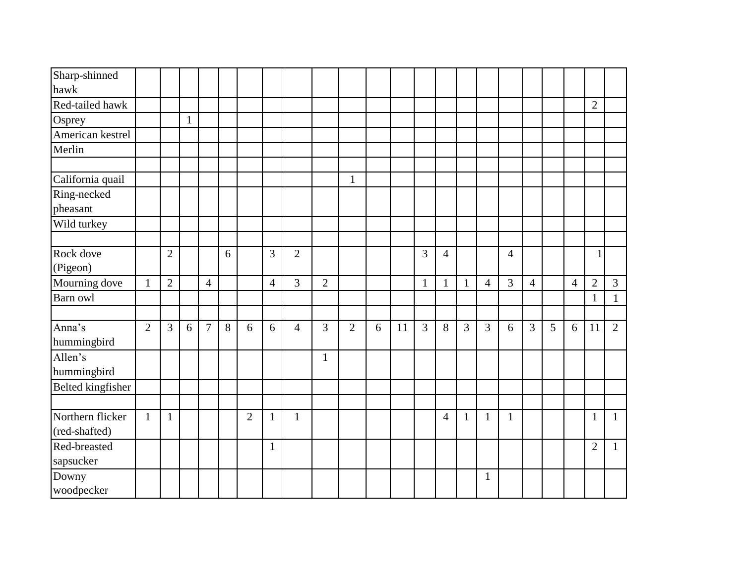| Sharp-shinned<br>hawk             |                |                |              |                |   |                |                |                |                |                |   |    |                |                |                |                |                |                |   |                |                |                |
|-----------------------------------|----------------|----------------|--------------|----------------|---|----------------|----------------|----------------|----------------|----------------|---|----|----------------|----------------|----------------|----------------|----------------|----------------|---|----------------|----------------|----------------|
| Red-tailed hawk                   |                |                |              |                |   |                |                |                |                |                |   |    |                |                |                |                |                |                |   |                | $\overline{2}$ |                |
| Osprey                            |                |                | $\mathbf{1}$ |                |   |                |                |                |                |                |   |    |                |                |                |                |                |                |   |                |                |                |
| American kestrel                  |                |                |              |                |   |                |                |                |                |                |   |    |                |                |                |                |                |                |   |                |                |                |
| Merlin                            |                |                |              |                |   |                |                |                |                |                |   |    |                |                |                |                |                |                |   |                |                |                |
|                                   |                |                |              |                |   |                |                |                |                |                |   |    |                |                |                |                |                |                |   |                |                |                |
| California quail                  |                |                |              |                |   |                |                |                |                | $\mathbf{1}$   |   |    |                |                |                |                |                |                |   |                |                |                |
| Ring-necked                       |                |                |              |                |   |                |                |                |                |                |   |    |                |                |                |                |                |                |   |                |                |                |
| pheasant                          |                |                |              |                |   |                |                |                |                |                |   |    |                |                |                |                |                |                |   |                |                |                |
| Wild turkey                       |                |                |              |                |   |                |                |                |                |                |   |    |                |                |                |                |                |                |   |                |                |                |
|                                   |                |                |              |                |   |                |                |                |                |                |   |    |                |                |                |                |                |                |   |                |                |                |
| Rock dove<br>(Pigeon)             |                | $\overline{2}$ |              |                | 6 |                | $\overline{3}$ | $\overline{2}$ |                |                |   |    | 3              | $\overline{4}$ |                |                | $\overline{4}$ |                |   |                | 1              |                |
| Mourning dove                     | $\mathbf{1}$   | $\overline{2}$ |              | $\overline{4}$ |   |                | $\overline{4}$ | $\overline{3}$ | $\overline{2}$ |                |   |    | $\mathbf{1}$   | $\mathbf{1}$   | $\mathbf{1}$   | $\overline{4}$ | $\overline{3}$ | $\overline{4}$ |   | $\overline{4}$ | $\overline{2}$ | $\mathfrak{Z}$ |
| Barn owl                          |                |                |              |                |   |                |                |                |                |                |   |    |                |                |                |                |                |                |   |                | $\mathbf{1}$   | $\mathbf{1}$   |
|                                   |                |                |              |                |   |                |                |                |                |                |   |    |                |                |                |                |                |                |   |                |                |                |
| Anna's<br>hummingbird             | $\overline{2}$ | 3              | 6            | $\overline{7}$ | 8 | 6              | 6              | $\overline{4}$ | 3              | $\overline{2}$ | 6 | 11 | $\overline{3}$ | 8              | $\overline{3}$ | $\overline{3}$ | 6              | $\overline{3}$ | 5 | 6              | 11             | $\overline{2}$ |
| Allen's<br>hummingbird            |                |                |              |                |   |                |                |                | $\mathbf{1}$   |                |   |    |                |                |                |                |                |                |   |                |                |                |
| Belted kingfisher                 |                |                |              |                |   |                |                |                |                |                |   |    |                |                |                |                |                |                |   |                |                |                |
|                                   |                |                |              |                |   |                |                |                |                |                |   |    |                |                |                |                |                |                |   |                |                |                |
| Northern flicker<br>(red-shafted) | $\mathbf{1}$   | $\mathbf{1}$   |              |                |   | $\overline{2}$ | $\mathbf{1}$   | 1              |                |                |   |    |                | $\overline{4}$ | $\mathbf{1}$   | $\mathbf{1}$   | $\mathbf{1}$   |                |   |                | $\mathbf{1}$   | $\mathbf{1}$   |
| Red-breasted<br>sapsucker         |                |                |              |                |   |                | $\mathbf{1}$   |                |                |                |   |    |                |                |                |                |                |                |   |                | $\overline{2}$ | $\mathbf{1}$   |
| Downy<br>woodpecker               |                |                |              |                |   |                |                |                |                |                |   |    |                |                |                | $\mathbf{1}$   |                |                |   |                |                |                |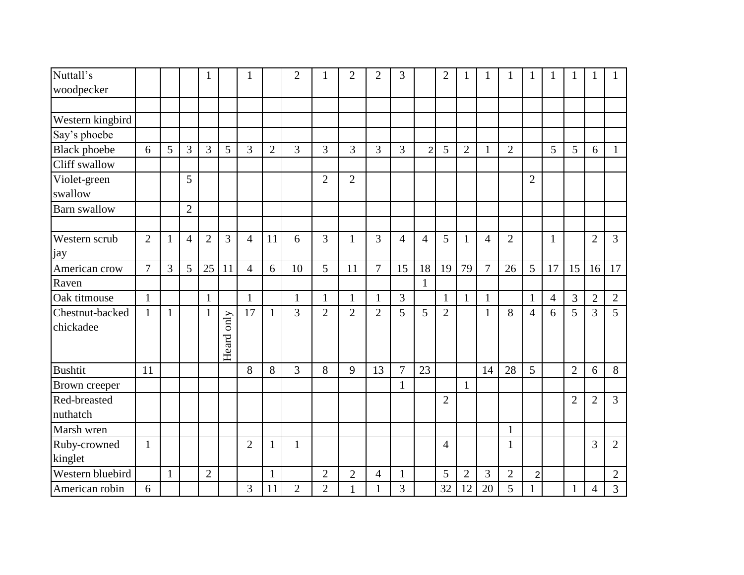| Nuttall's            |                |              |                | 1              |                |                |                | $\overline{2}$ |                | $\overline{2}$ | $\overline{2}$ | 3              |                | $\overline{2}$ | 1              | $\mathbf{1}$   |                | $\mathbf{1}$   | 1              | 1              |                |                |
|----------------------|----------------|--------------|----------------|----------------|----------------|----------------|----------------|----------------|----------------|----------------|----------------|----------------|----------------|----------------|----------------|----------------|----------------|----------------|----------------|----------------|----------------|----------------|
| woodpecker           |                |              |                |                |                |                |                |                |                |                |                |                |                |                |                |                |                |                |                |                |                |                |
|                      |                |              |                |                |                |                |                |                |                |                |                |                |                |                |                |                |                |                |                |                |                |                |
| Western kingbird     |                |              |                |                |                |                |                |                |                |                |                |                |                |                |                |                |                |                |                |                |                |                |
| Say's phoebe         |                |              |                |                |                |                |                |                |                |                |                |                |                |                |                |                |                |                |                |                |                |                |
| <b>Black</b> phoebe  | 6              | 5            | 3              | 3              | 5              | $\overline{3}$ | $\overline{2}$ | 3              | 3              | 3              | 3              | 3              | $\overline{2}$ | 5              | $\overline{2}$ | $\mathbf{1}$   | $\overline{2}$ |                | 5              | 5              | 6              | $\mathbf{1}$   |
| Cliff swallow        |                |              |                |                |                |                |                |                |                |                |                |                |                |                |                |                |                |                |                |                |                |                |
| Violet-green         |                |              | 5              |                |                |                |                |                | $\overline{2}$ | $\overline{2}$ |                |                |                |                |                |                |                | $\overline{2}$ |                |                |                |                |
| swallow              |                |              |                |                |                |                |                |                |                |                |                |                |                |                |                |                |                |                |                |                |                |                |
| <b>Barn</b> swallow  |                |              | $\overline{2}$ |                |                |                |                |                |                |                |                |                |                |                |                |                |                |                |                |                |                |                |
|                      |                |              |                |                |                |                |                |                |                |                |                |                |                |                |                |                |                |                |                |                |                |                |
| <b>Western scrub</b> | $\mathfrak{2}$ | $\mathbf{1}$ | $\overline{4}$ | $\overline{2}$ | $\overline{3}$ | $\overline{4}$ | 11             | 6              | 3              | $\mathbf{1}$   | 3              | $\overline{4}$ | $\overline{4}$ | 5              | $\mathbf{1}$   | $\overline{4}$ | $\overline{2}$ |                | 1              |                | $\overline{2}$ | $\overline{3}$ |
| jay                  |                |              |                |                |                |                |                |                |                |                |                |                |                |                |                |                |                |                |                |                |                |                |
| American crow        | $\overline{7}$ | 3            | 5              | 25             | 11             | $\overline{4}$ | 6              | 10             | 5              | 11             | $\overline{7}$ | 15             | 18             | 19             | 79             | $\overline{7}$ | 26             | 5              | 17             | 15             | 16             | 17             |
| Raven                |                |              |                |                |                |                |                |                |                |                |                |                | $\mathbf{1}$   |                |                |                |                |                |                |                |                |                |
| Oak titmouse         | $\mathbf{1}$   |              |                | $\mathbf{1}$   |                | $\mathbf{1}$   |                | $\mathbf{1}$   | $\mathbf{1}$   | $\mathbf{1}$   | $\mathbf{1}$   | 3              |                | $\mathbf{1}$   | $\mathbf{1}$   | $\mathbf{1}$   |                | $\mathbf{1}$   | $\overline{4}$ | 3              | $\overline{2}$ | $\mathbf{2}$   |
| Chestnut-backed      | $\mathbf{1}$   | $\mathbf{1}$ |                | $\mathbf{1}$   |                | 17             | 1              | 3              | $\overline{2}$ | $\overline{2}$ | $\overline{2}$ | 5              | 5              | $\overline{2}$ |                | 1              | 8              | $\overline{4}$ | 6              | 5              | $\overline{3}$ | 5              |
| chickadee            |                |              |                |                | only           |                |                |                |                |                |                |                |                |                |                |                |                |                |                |                |                |                |
|                      |                |              |                |                |                |                |                |                |                |                |                |                |                |                |                |                |                |                |                |                |                |                |
|                      |                |              |                |                | Heard          |                |                |                |                |                |                |                |                |                |                |                |                |                |                |                |                |                |
| Bushtit              | 11             |              |                |                |                | 8              | 8              | 3              | 8              | 9              | 13             | 7              | 23             |                |                | 14             | 28             | 5              |                | $\overline{2}$ | 6              | 8              |
| Brown creeper        |                |              |                |                |                |                |                |                |                |                |                | $\mathbf{1}$   |                |                | $\mathbf{1}$   |                |                |                |                |                |                |                |
| Red-breasted         |                |              |                |                |                |                |                |                |                |                |                |                |                | $\overline{2}$ |                |                |                |                |                | $\overline{2}$ | $\overline{2}$ | 3              |
| nuthatch             |                |              |                |                |                |                |                |                |                |                |                |                |                |                |                |                |                |                |                |                |                |                |
| Marsh wren           |                |              |                |                |                |                |                |                |                |                |                |                |                |                |                |                | $\mathbf{1}$   |                |                |                |                |                |
| Ruby-crowned         | $\mathbf{1}$   |              |                |                |                | $\overline{2}$ | 1              | $\mathbf{1}$   |                |                |                |                |                | 4              |                |                | $\mathbf{1}$   |                |                |                | 3              | $\overline{2}$ |
| kinglet              |                |              |                |                |                |                |                |                |                |                |                |                |                |                |                |                |                |                |                |                |                |                |
| Western bluebird     |                | $\mathbf{1}$ |                | $\overline{2}$ |                |                | $\mathbf{1}$   |                | $\overline{2}$ | $\overline{2}$ | $\overline{4}$ | $\mathbf{1}$   |                | 5              | $\overline{2}$ | 3              | $\overline{2}$ | $\overline{2}$ |                |                |                | $\overline{2}$ |
| American robin       | 6              |              |                |                |                | 3              | 11             | $\overline{2}$ | $\overline{2}$ | $\mathbf{1}$   | 1              | 3              |                | 32             | 12             | 20             | 5              |                |                | $\mathbf{1}$   | $\overline{4}$ | 3              |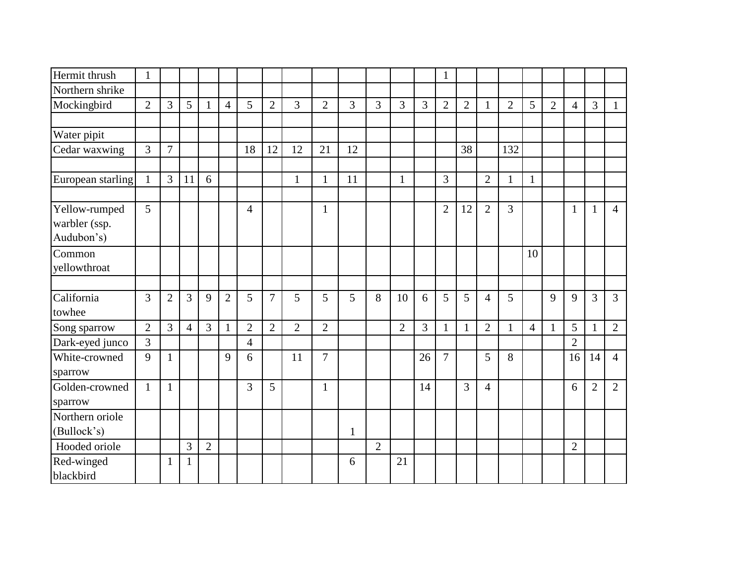| Hermit thrush     | $\mathbf{1}$   |                |                |                |                |                |                |                |                |              |                |                |                | $\mathbf{1}$   |                |                |                |                |                |                |                |                |
|-------------------|----------------|----------------|----------------|----------------|----------------|----------------|----------------|----------------|----------------|--------------|----------------|----------------|----------------|----------------|----------------|----------------|----------------|----------------|----------------|----------------|----------------|----------------|
| Northern shrike   |                |                |                |                |                |                |                |                |                |              |                |                |                |                |                |                |                |                |                |                |                |                |
| Mockingbird       | $\overline{2}$ | 3              | 5              | $\mathbf{1}$   | $\overline{4}$ | 5              | $\overline{2}$ | 3              | $\overline{2}$ | 3            | $\overline{3}$ | 3              | 3              | $\overline{2}$ | $\overline{2}$ | $\mathbf{1}$   | $\overline{2}$ | 5              | $\overline{2}$ | $\overline{4}$ | $\overline{3}$ | $\mathbf{1}$   |
|                   |                |                |                |                |                |                |                |                |                |              |                |                |                |                |                |                |                |                |                |                |                |                |
| Water pipit       |                |                |                |                |                |                |                |                |                |              |                |                |                |                |                |                |                |                |                |                |                |                |
| Cedar waxwing     | 3              | 7              |                |                |                | 18             | 12             | 12             | 21             | 12           |                |                |                |                | 38             |                | 132            |                |                |                |                |                |
|                   |                |                |                |                |                |                |                |                |                |              |                |                |                |                |                |                |                |                |                |                |                |                |
| European starling | $\mathbf{1}$   | 3              | 11             | 6              |                |                |                | $\mathbf{1}$   | $\mathbf{1}$   | 11           |                | $\mathbf{1}$   |                | 3              |                | $\overline{2}$ | $\mathbf{1}$   | $\mathbf{1}$   |                |                |                |                |
|                   |                |                |                |                |                |                |                |                |                |              |                |                |                |                |                |                |                |                |                |                |                |                |
| Yellow-rumped     | 5              |                |                |                |                | $\overline{4}$ |                |                | $\mathbf{1}$   |              |                |                |                | $\overline{2}$ | 12             | $\overline{2}$ | $\overline{3}$ |                |                | $\mathbf{1}$   | 1              | $\overline{4}$ |
| warbler (ssp.     |                |                |                |                |                |                |                |                |                |              |                |                |                |                |                |                |                |                |                |                |                |                |
| Audubon's)        |                |                |                |                |                |                |                |                |                |              |                |                |                |                |                |                |                |                |                |                |                |                |
| Common            |                |                |                |                |                |                |                |                |                |              |                |                |                |                |                |                |                | 10             |                |                |                |                |
| yellowthroat      |                |                |                |                |                |                |                |                |                |              |                |                |                |                |                |                |                |                |                |                |                |                |
|                   |                |                |                |                |                |                |                |                |                |              |                |                |                |                |                |                |                |                |                |                |                |                |
| California        | 3              | $\overline{2}$ | 3              | 9              | $\overline{2}$ | 5              | 7              | 5              | 5              | 5            | 8              | 10             | 6              | 5              | 5              | $\overline{4}$ | 5              |                | 9              | 9              | 3              | $\overline{3}$ |
| towhee            |                |                |                |                |                |                |                |                |                |              |                |                |                |                |                |                |                |                |                |                |                |                |
| Song sparrow      | $\overline{2}$ | 3              | $\overline{4}$ | 3              | $\mathbf{1}$   | $\overline{2}$ | $\overline{2}$ | $\overline{2}$ | $\overline{2}$ |              |                | $\overline{2}$ | $\overline{3}$ | $\mathbf{1}$   | $\mathbf{1}$   | $\overline{2}$ | $\mathbf{1}$   | $\overline{4}$ | $\mathbf{1}$   | 5              | $\mathbf{1}$   | $\overline{2}$ |
| Dark-eyed junco   | $\overline{3}$ |                |                |                |                | $\overline{4}$ |                |                |                |              |                |                |                |                |                |                |                |                |                | $\overline{2}$ |                |                |
| White-crowned     | 9              | $\mathbf{1}$   |                |                | 9              | 6              |                | 11             | $\overline{7}$ |              |                |                | 26             | $\overline{7}$ |                | 5              | 8              |                |                | 16             | 14             | $\overline{4}$ |
| sparrow           |                |                |                |                |                |                |                |                |                |              |                |                |                |                |                |                |                |                |                |                |                |                |
| Golden-crowned    | $\mathbf{1}$   | $\mathbf{1}$   |                |                |                | 3              | 5              |                | $\mathbf{1}$   |              |                |                | 14             |                | $\overline{3}$ | $\overline{4}$ |                |                |                | 6              | $\overline{2}$ | $\overline{2}$ |
| sparrow           |                |                |                |                |                |                |                |                |                |              |                |                |                |                |                |                |                |                |                |                |                |                |
| Northern oriole   |                |                |                |                |                |                |                |                |                |              |                |                |                |                |                |                |                |                |                |                |                |                |
| (Bullock's)       |                |                |                |                |                |                |                |                |                | $\mathbf{1}$ |                |                |                |                |                |                |                |                |                |                |                |                |
| Hooded oriole     |                |                | 3              | $\overline{2}$ |                |                |                |                |                |              | $\overline{2}$ |                |                |                |                |                |                |                |                | $\overline{2}$ |                |                |
| Red-winged        |                | 1              | 1              |                |                |                |                |                |                | 6            |                | 21             |                |                |                |                |                |                |                |                |                |                |
| blackbird         |                |                |                |                |                |                |                |                |                |              |                |                |                |                |                |                |                |                |                |                |                |                |